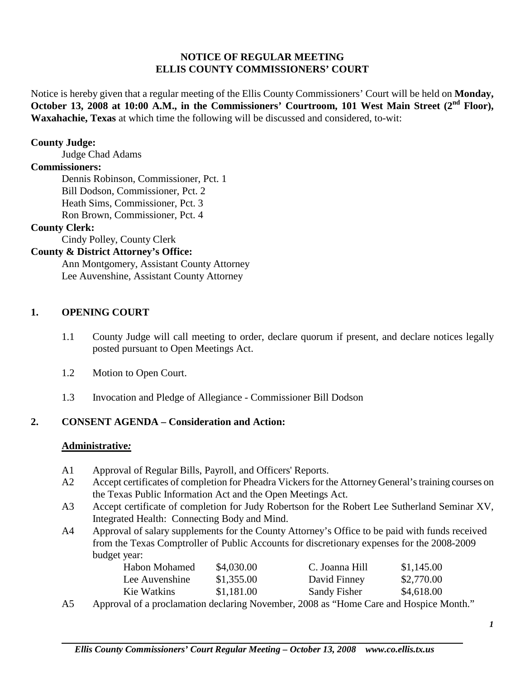#### **NOTICE OF REGULAR MEETING ELLIS COUNTY COMMISSIONERS' COURT**

Notice is hereby given that a regular meeting of the Ellis County Commissioners' Court will be held on **Monday, October** 13, 2008 at 10:00 A.M., in the Commissioners' Courtroom, 101 West Main Street (2<sup>nd</sup> Floor), **Waxahachie, Texas** at which time the following will be discussed and considered, to-wit:

#### **County Judge:**

Judge Chad Adams

#### **Commissioners:**

Dennis Robinson, Commissioner, Pct. 1 Bill Dodson, Commissioner, Pct. 2 Heath Sims, Commissioner, Pct. 3 Ron Brown, Commissioner, Pct. 4

#### **County Clerk:**

Cindy Polley, County Clerk

#### **County & District Attorney's Office:**

Ann Montgomery, Assistant County Attorney Lee Auvenshine, Assistant County Attorney

#### **1. OPENING COURT**

- 1.1 County Judge will call meeting to order, declare quorum if present, and declare notices legally posted pursuant to Open Meetings Act.
- 1.2 Motion to Open Court.
- 1.3 Invocation and Pledge of Allegiance Commissioner Bill Dodson

# **2. CONSENT AGENDA – Consideration and Action:**

#### **Administrative***:*

- A1 Approval of Regular Bills, Payroll, and Officers' Reports.
- A2 Accept certificates of completion for Pheadra Vickers for the Attorney General's training courses on the Texas Public Information Act and the Open Meetings Act.
- A3 Accept certificate of completion for Judy Robertson for the Robert Lee Sutherland Seminar XV, Integrated Health: Connecting Body and Mind.
- A4 Approval of salary supplements for the County Attorney's Office to be paid with funds received from the Texas Comptroller of Public Accounts for discretionary expenses for the 2008-2009 budget year:

| Habon Mohamed                      | \$4,030.00 | C. Joanna Hill              | \$1,145.00  |
|------------------------------------|------------|-----------------------------|-------------|
| Lee Auvenshine                     | \$1,355.00 | David Finney                | \$2,770.00  |
| Kie Watkins                        | \$1,181.00 | Sandy Fisher                | \$4,618.00  |
| $\sim$ $\sim$ $\sim$ $\sim$ $\sim$ |            | $\epsilon$ and $\mathbf{r}$ | 1 T T T T 1 |

A5 Approval of a proclamation declaring November, 2008 as "Home Care and Hospice Month."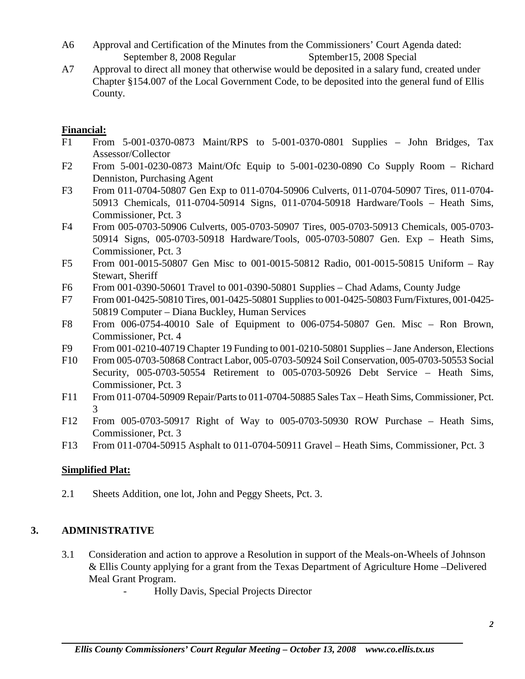- A6 Approval and Certification of the Minutes from the Commissioners' Court Agenda dated: September 8, 2008 Regular Sptember 15, 2008 Special
- A7 Approval to direct all money that otherwise would be deposited in a salary fund, created under Chapter §154.007 of the Local Government Code, to be deposited into the general fund of Ellis County.

# **Financial:**

- F1 From 5-001-0370-0873 Maint/RPS to 5-001-0370-0801 Supplies John Bridges, Tax Assessor/Collector
- F2 From 5-001-0230-0873 Maint/Ofc Equip to 5-001-0230-0890 Co Supply Room Richard Denniston, Purchasing Agent
- F3 From 011-0704-50807 Gen Exp to 011-0704-50906 Culverts, 011-0704-50907 Tires, 011-0704- 50913 Chemicals, 011-0704-50914 Signs, 011-0704-50918 Hardware/Tools – Heath Sims, Commissioner, Pct. 3
- F4 From 005-0703-50906 Culverts, 005-0703-50907 Tires, 005-0703-50913 Chemicals, 005-0703- 50914 Signs, 005-0703-50918 Hardware/Tools, 005-0703-50807 Gen. Exp – Heath Sims, Commissioner, Pct. 3
- F5 From 001-0015-50807 Gen Misc to 001-0015-50812 Radio, 001-0015-50815 Uniform Ray Stewart, Sheriff
- F6 From 001-0390-50601 Travel to 001-0390-50801 Supplies Chad Adams, County Judge
- F7 From 001-0425-50810 Tires, 001-0425-50801 Supplies to 001-0425-50803 Furn/Fixtures, 001-0425- 50819 Computer – Diana Buckley, Human Services
- F8 From 006-0754-40010 Sale of Equipment to 006-0754-50807 Gen. Misc Ron Brown, Commissioner, Pct. 4
- F9 From 001-0210-40719 Chapter 19 Funding to 001-0210-50801 Supplies Jane Anderson, Elections
- F10 From 005-0703-50868 Contract Labor, 005-0703-50924 Soil Conservation, 005-0703-50553 Social Security, 005-0703-50554 Retirement to 005-0703-50926 Debt Service – Heath Sims, Commissioner, Pct. 3
- F11 From 011-0704-50909 Repair/Parts to 011-0704-50885 Sales Tax Heath Sims, Commissioner, Pct. 3
- F12 From 005-0703-50917 Right of Way to 005-0703-50930 ROW Purchase Heath Sims, Commissioner, Pct. 3
- F13 From 011-0704-50915 Asphalt to 011-0704-50911 Gravel Heath Sims, Commissioner, Pct. 3

# **Simplified Plat:**

2.1 Sheets Addition, one lot, John and Peggy Sheets, Pct. 3.

# **3. ADMINISTRATIVE**

- 3.1 Consideration and action to approve a Resolution in support of the Meals-on-Wheels of Johnson & Ellis County applying for a grant from the Texas Department of Agriculture Home –Delivered Meal Grant Program.
	- Holly Davis, Special Projects Director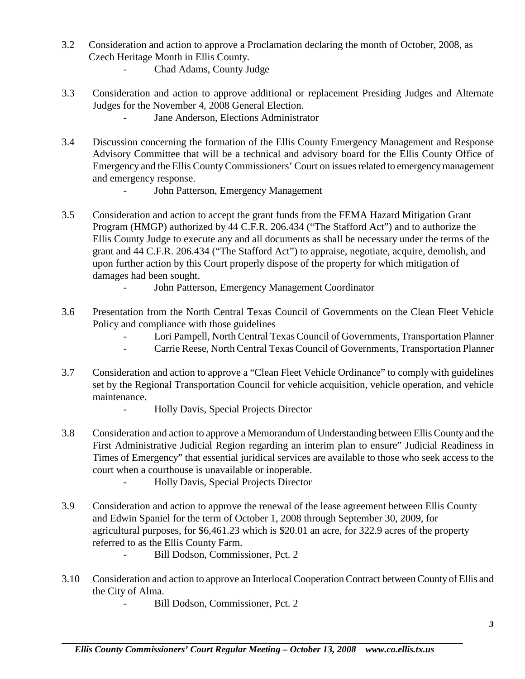- 3.2 Consideration and action to approve a Proclamation declaring the month of October, 2008, as Czech Heritage Month in Ellis County.
	- Chad Adams, County Judge
- 3.3 Consideration and action to approve additional or replacement Presiding Judges and Alternate Judges for the November 4, 2008 General Election.
	- Jane Anderson, Elections Administrator
- 3.4 Discussion concerning the formation of the Ellis County Emergency Management and Response Advisory Committee that will be a technical and advisory board for the Ellis County Office of Emergency and the Ellis County Commissioners' Court on issues related to emergency management and emergency response.
	- John Patterson, Emergency Management
- 3.5 Consideration and action to accept the grant funds from the FEMA Hazard Mitigation Grant Program (HMGP) authorized by 44 C.F.R. 206.434 ("The Stafford Act") and to authorize the Ellis County Judge to execute any and all documents as shall be necessary under the terms of the grant and 44 C.F.R. 206.434 ("The Stafford Act") to appraise, negotiate, acquire, demolish, and upon further action by this Court properly dispose of the property for which mitigation of damages had been sought.
	- John Patterson, Emergency Management Coordinator
- 3.6 Presentation from the North Central Texas Council of Governments on the Clean Fleet Vehicle Policy and compliance with those guidelines
	- Lori Pampell, North Central Texas Council of Governments, Transportation Planner
	- Carrie Reese, North Central Texas Council of Governments, Transportation Planner
- 3.7 Consideration and action to approve a "Clean Fleet Vehicle Ordinance" to comply with guidelines set by the Regional Transportation Council for vehicle acquisition, vehicle operation, and vehicle maintenance.
	- Holly Davis, Special Projects Director
- 3.8 Consideration and action to approve a Memorandum of Understanding between Ellis County and the First Administrative Judicial Region regarding an interim plan to ensure" Judicial Readiness in Times of Emergency" that essential juridical services are available to those who seek access to the court when a courthouse is unavailable or inoperable.
	- Holly Davis, Special Projects Director
- 3.9 Consideration and action to approve the renewal of the lease agreement between Ellis County and Edwin Spaniel for the term of October 1, 2008 through September 30, 2009, for agricultural purposes, for \$6,461.23 which is \$20.01 an acre, for 322.9 acres of the property referred to as the Ellis County Farm.
	- Bill Dodson, Commissioner, Pct. 2
- 3.10 Consideration and action to approve an Interlocal Cooperation Contract between County of Ellis and the City of Alma.
	- Bill Dodson, Commissioner, Pct. 2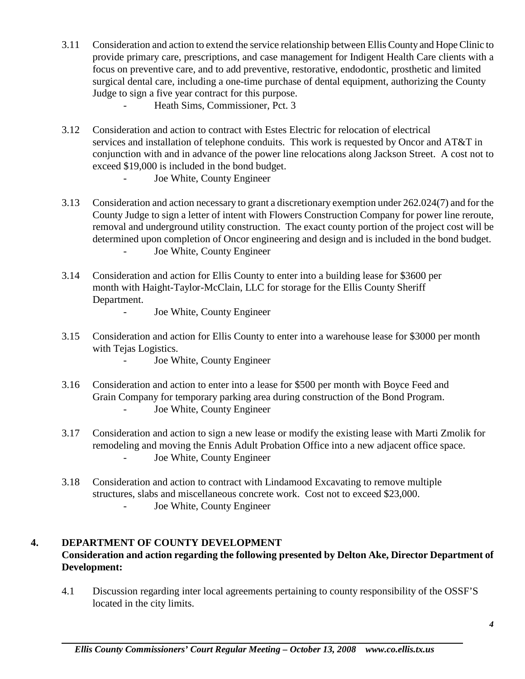- 3.11 Consideration and action to extend the service relationship between Ellis County and Hope Clinic to provide primary care, prescriptions, and case management for Indigent Health Care clients with a focus on preventive care, and to add preventive, restorative, endodontic, prosthetic and limited surgical dental care, including a one-time purchase of dental equipment, authorizing the County Judge to sign a five year contract for this purpose.
	- Heath Sims, Commissioner, Pct. 3
- 3.12 Consideration and action to contract with Estes Electric for relocation of electrical services and installation of telephone conduits. This work is requested by Oncor and AT&T in conjunction with and in advance of the power line relocations along Jackson Street. A cost not to exceed \$19,000 is included in the bond budget.
	- Joe White, County Engineer
- 3.13 Consideration and action necessary to grant a discretionary exemption under 262.024(7) and for the County Judge to sign a letter of intent with Flowers Construction Company for power line reroute, removal and underground utility construction. The exact county portion of the project cost will be determined upon completion of Oncor engineering and design and is included in the bond budget. - Joe White, County Engineer
- 3.14 Consideration and action for Ellis County to enter into a building lease for \$3600 per month with Haight-Taylor-McClain, LLC for storage for the Ellis County Sheriff Department.
	- Joe White, County Engineer
- 3.15 Consideration and action for Ellis County to enter into a warehouse lease for \$3000 per month with Tejas Logistics.
	- Joe White, County Engineer
- 3.16 Consideration and action to enter into a lease for \$500 per month with Boyce Feed and Grain Company for temporary parking area during construction of the Bond Program. Joe White, County Engineer
- 3.17 Consideration and action to sign a new lease or modify the existing lease with Marti Zmolik for remodeling and moving the Ennis Adult Probation Office into a new adjacent office space. - Joe White, County Engineer
- 3.18 Consideration and action to contract with Lindamood Excavating to remove multiple structures, slabs and miscellaneous concrete work. Cost not to exceed \$23,000. Joe White, County Engineer

# **4. DEPARTMENT OF COUNTY DEVELOPMENT**

# **Consideration and action regarding the following presented by Delton Ake, Director Department of Development:**

4.1 Discussion regarding inter local agreements pertaining to county responsibility of the OSSF'S located in the city limits.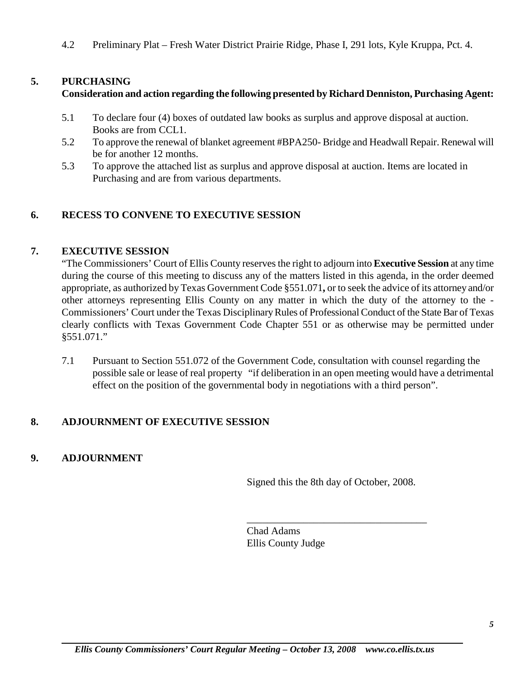4.2 Preliminary Plat – Fresh Water District Prairie Ridge, Phase I, 291 lots, Kyle Kruppa, Pct. 4.

# **5. PURCHASING**

#### **Consideration and action regarding the following presented by Richard Denniston, Purchasing Agent:**

- 5.1 To declare four (4) boxes of outdated law books as surplus and approve disposal at auction. Books are from CCL1.
- 5.2 To approve the renewal of blanket agreement #BPA250- Bridge and Headwall Repair. Renewal will be for another 12 months.
- 5.3 To approve the attached list as surplus and approve disposal at auction. Items are located in Purchasing and are from various departments.

# **6. RECESS TO CONVENE TO EXECUTIVE SESSION**

#### **7. EXECUTIVE SESSION**

"The Commissioners' Court of Ellis County reserves the right to adjourn into **Executive Session** at any time during the course of this meeting to discuss any of the matters listed in this agenda, in the order deemed appropriate, as authorized by Texas Government Code §551.071**,** or to seek the advice of its attorney and/or other attorneys representing Ellis County on any matter in which the duty of the attorney to the - Commissioners' Court under the Texas Disciplinary Rules of Professional Conduct of the State Bar of Texas clearly conflicts with Texas Government Code Chapter 551 or as otherwise may be permitted under §551.071."

7.1 Pursuant to Section 551.072 of the Government Code, consultation with counsel regarding the possible sale or lease of real property "if deliberation in an open meeting would have a detrimental effect on the position of the governmental body in negotiations with a third person".

# **8. ADJOURNMENT OF EXECUTIVE SESSION**

# **9. ADJOURNMENT**

Signed this the 8th day of October, 2008.

\_\_\_\_\_\_\_\_\_\_\_\_\_\_\_\_\_\_\_\_\_\_\_\_\_\_\_\_\_\_\_\_\_\_\_

Chad Adams Ellis County Judge